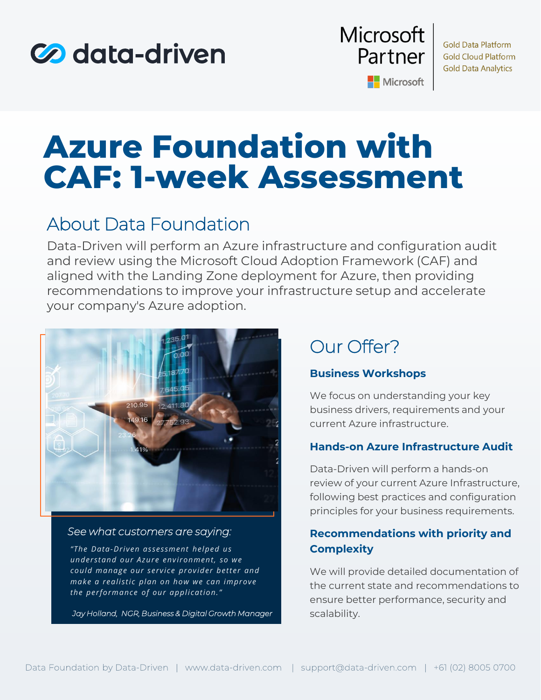



**Gold Data Platform Gold Cloud Platform Gold Data Analytics** 

Microsoft

## **Azure Foundation with CAF: 1-week Assessment**

## About Data Foundation

Data-Driven will perform an Azure infrastructure and configuration audit and review using the Microsoft Cloud Adoption Framework (CAF) and aligned with the Landing Zone deployment for Azure, then providing recommendations to improve your infrastructure setup and accelerate your company's Azure adoption.



### *See what customers are saying:*

*"The Data-Driven assessment helped us understand our Azure environment, so we could manage our service provider better and make a realistic plan on how we can improve the performance of our application."*

*Jay Holland, NGR, Business & Digital Growth Manager*

## Our Offer?

### **Business Workshops**

We focus on understanding your key business drivers, requirements and your current Azure infrastructure.

### **Hands-on Azure Infrastructure Audit**

Data-Driven will perform a hands-on review of your current Azure Infrastructure, following best practices and configuration principles for your business requirements.

### **Recommendations with priority and Complexity**

We will provide detailed documentation of the current state and recommendations to ensure better performance, security and scalability.